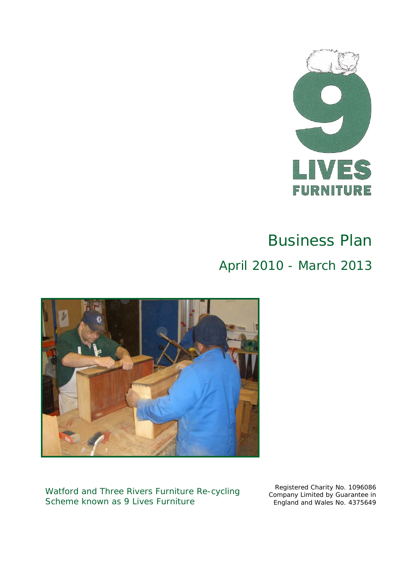

# Business Plan April 2010 - March 2013



Watford and Three Rivers Furniture Re-cycling Scheme known as 9 Lives Furniture

Registered Charity No. 1096086 Company Limited by Guarantee in England and Wales No. 4375649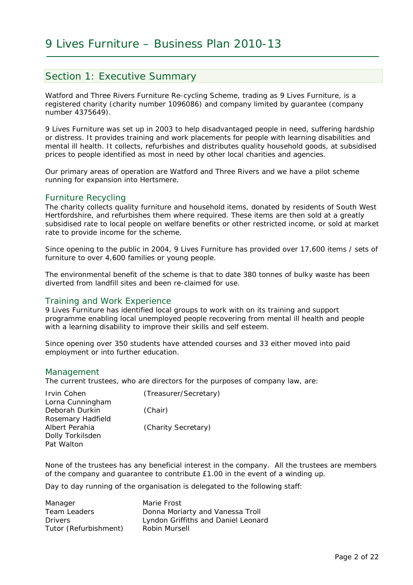#### Section 1: Executive Summary

Watford and Three Rivers Furniture Re-cycling Scheme, trading as 9 Lives Furniture, is a registered charity (charity number 1096086) and company limited by guarantee (company number 4375649).

9 Lives Furniture was set up in 2003 to help disadvantaged people in need, suffering hardship or distress. It provides training and work placements for people with learning disabilities and mental ill health. It collects, refurbishes and distributes quality household goods, at subsidised prices to people identified as most in need by other local charities and agencies.

Our primary areas of operation are Watford and Three Rivers and we have a pilot scheme running for expansion into Hertsmere.

#### Furniture Recycling

The charity collects quality furniture and household items, donated by residents of South West Hertfordshire, and refurbishes them where required. These items are then sold at a greatly subsidised rate to local people on welfare benefits or other restricted income, or sold at market rate to provide income for the scheme.

Since opening to the public in 2004, 9 Lives Furniture has provided over 17,600 items / sets of furniture to over 4,600 families or young people.

The environmental benefit of the scheme is that to date 380 tonnes of bulky waste has been diverted from landfill sites and been re-claimed for use.

#### Training and Work Experience

9 Lives Furniture has identified local groups to work with on its training and support programme enabling local unemployed people recovering from mental ill health and people with a learning disability to improve their skills and self esteem.

Since opening over 350 students have attended courses and 33 either moved into paid employment or into further education.

#### Management

The current trustees, who are directors for the purposes of company law, are:

| <b>Irvin Cohen</b> | (Treasurer/Secretary) |
|--------------------|-----------------------|
| Lorna Cunningham   |                       |
| Deborah Durkin     | (Chair)               |
| Rosemary Hadfield  |                       |
| Albert Perahia     | (Charity Secretary)   |
| Dolly Torkilsden   |                       |
| Pat Walton         |                       |

None of the trustees has any beneficial interest in the company. All the trustees are members of the company and guarantee to contribute £1.00 in the event of a winding up.

Day to day running of the organisation is delegated to the following staff:

| Manager               | Marie Frost                         |
|-----------------------|-------------------------------------|
| Team Leaders          | Donna Moriarty and Vanessa Troll    |
| <b>Drivers</b>        | Lyndon Griffiths and Daniel Leonard |
| Tutor (Refurbishment) | Robin Mursell                       |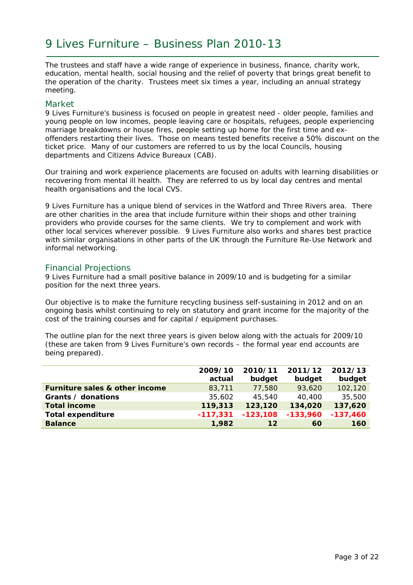The trustees and staff have a wide range of experience in business, finance, charity work, education, mental health, social housing and the relief of poverty that brings great benefit to the operation of the charity. Trustees meet six times a year, including an annual strategy meeting.

#### Market

9 Lives Furniture's business is focused on people in greatest need - older people, families and young people on low incomes, people leaving care or hospitals, refugees, people experiencing marriage breakdowns or house fires, people setting up home for the first time and exoffenders restarting their lives. Those on means tested benefits receive a 50% discount on the ticket price. Many of our customers are referred to us by the local Councils, housing departments and Citizens Advice Bureaux (CAB).

Our training and work experience placements are focused on adults with learning disabilities or recovering from mental ill health. They are referred to us by local day centres and mental health organisations and the local CVS.

9 Lives Furniture has a unique blend of services in the Watford and Three Rivers area. There are other charities in the area that include furniture within their shops and other training providers who provide courses for the same clients. We try to complement and work with other local services wherever possible. 9 Lives Furniture also works and shares best practice with similar organisations in other parts of the UK through the Furniture Re-Use Network and informal networking.

#### Financial Projections

9 Lives Furniture had a small positive balance in 2009/10 and is budgeting for a similar position for the next three years.

Our objective is to make the furniture recycling business self-sustaining in 2012 and on an ongoing basis whilst continuing to rely on statutory and grant income for the majority of the cost of the training courses and for capital / equipment purchases.

The outline plan for the next three years is given below along with the actuals for 2009/10 (these are taken from 9 Lives Furniture's own records – the formal year end accounts are being prepared).

|                                | 2009/10<br>actual | 2010/11<br>budget | 2011/12<br>budget | 2012/13<br>budget |
|--------------------------------|-------------------|-------------------|-------------------|-------------------|
| Furniture sales & other income | 83,711            | 77,580            | 93,620            | 102,120           |
| Grants / donations             | 35,602            | 45,540            | 40,400            | 35,500            |
| <b>Total income</b>            | 119,313           | 123,120           | 134,020           | 137,620           |
| <b>Total expenditure</b>       | $-117,331$        | $-123,108$        | $-133,960$        | $-137,460$        |
| <b>Balance</b>                 | 1,982             | 12                | 60                | 160               |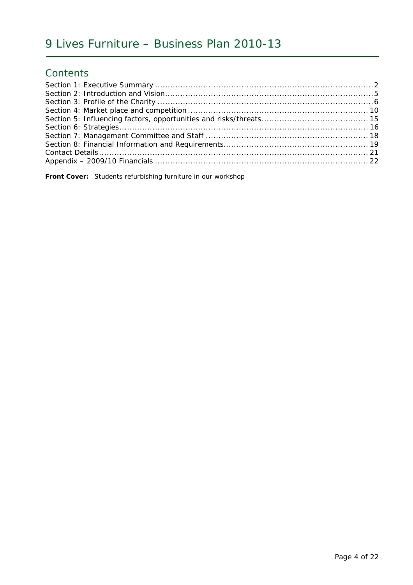### **Contents**

**Front Cover:** Students refurbishing furniture in our workshop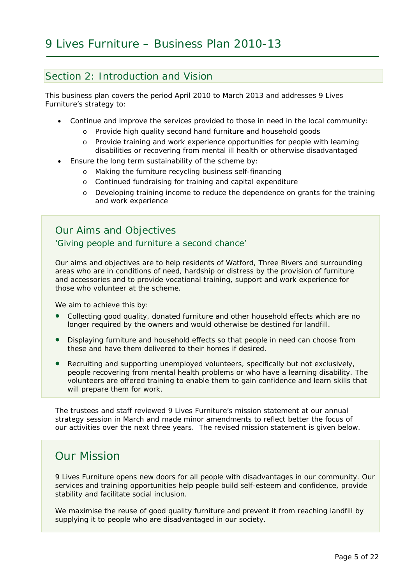#### Section 2: Introduction and Vision

This business plan covers the period April 2010 to March 2013 and addresses 9 Lives Furniture's strategy to:

- Continue and improve the services provided to those in need in the local community:
	- o Provide high quality second hand furniture and household goods
	- o Provide training and work experience opportunities for people with learning disabilities or recovering from mental ill health or otherwise disadvantaged
- Ensure the long term sustainability of the scheme by:
	- o Making the furniture recycling business self-financing
	- o Continued fundraising for training and capital expenditure
	- o Developing training income to reduce the dependence on grants for the training and work experience

### Our Aims and Objectives

#### *'Giving people and furniture a second chance'*

Our aims and objectives are to help residents of Watford, Three Rivers and surrounding areas who are in conditions of need, hardship or distress by the provision of furniture and accessories and to provide vocational training, support and work experience for those who volunteer at the scheme.

We aim to achieve this by:

- Collecting good quality, donated furniture and other household effects which are no longer required by the owners and would otherwise be destined for landfill.
- Displaying furniture and household effects so that people in need can choose from these and have them delivered to their homes if desired.
- Recruiting and supporting unemployed volunteers, specifically but not exclusively, people recovering from mental health problems or who have a learning disability. The volunteers are offered training to enable them to gain confidence and learn skills that will prepare them for work.

The trustees and staff reviewed 9 Lives Furniture's mission statement at our annual strategy session in March and made minor amendments to reflect better the focus of our activities over the next three years. The revised mission statement is given below.

### Our Mission

9 Lives Furniture opens new doors for all people with disadvantages in our community. Our services and training opportunities help people build self-esteem and confidence, provide stability and facilitate social inclusion.

We maximise the reuse of good quality furniture and prevent it from reaching landfill by supplying it to people who are disadvantaged in our society.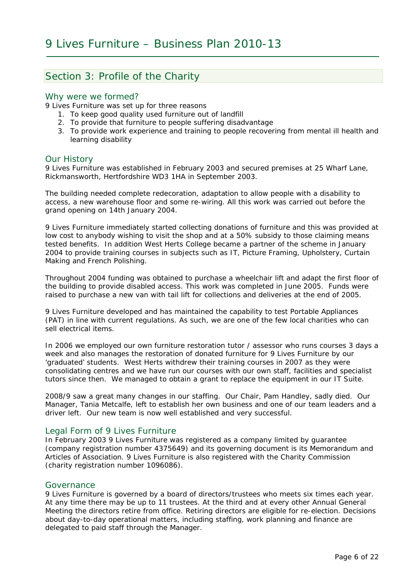### Section 3: Profile of the Charity

#### Why were we formed?

9 Lives Furniture was set up for three reasons

- 1. To keep good quality used furniture out of landfill
- 2. To provide that furniture to people suffering disadvantage
- 3. To provide work experience and training to people recovering from mental ill health and learning disability

#### Our History

9 Lives Furniture was established in February 2003 and secured premises at 25 Wharf Lane, Rickmansworth, Hertfordshire WD3 1HA in September 2003.

The building needed complete redecoration, adaptation to allow people with a disability to access, a new warehouse floor and some re-wiring. All this work was carried out before the grand opening on 14th January 2004.

9 Lives Furniture immediately started collecting donations of furniture and this was provided at low cost to anybody wishing to visit the shop and at a 50% subsidy to those claiming means tested benefits. In addition West Herts College became a partner of the scheme in January 2004 to provide training courses in subjects such as IT, Picture Framing, Upholstery, Curtain Making and French Polishing.

Throughout 2004 funding was obtained to purchase a wheelchair lift and adapt the first floor of the building to provide disabled access. This work was completed in June 2005. Funds were raised to purchase a new van with tail lift for collections and deliveries at the end of 2005.

9 Lives Furniture developed and has maintained the capability to test Portable Appliances (PAT) in line with current regulations. As such, we are one of the few local charities who can sell electrical items.

In 2006 we employed our own furniture restoration tutor / assessor who runs courses 3 days a week and also manages the restoration of donated furniture for 9 Lives Furniture by our 'graduated' students. West Herts withdrew their training courses in 2007 as they were consolidating centres and we have run our courses with our own staff, facilities and specialist tutors since then. We managed to obtain a grant to replace the equipment in our IT Suite.

2008/9 saw a great many changes in our staffing. Our Chair, Pam Handley, sadly died. Our Manager, Tania Metcalfe, left to establish her own business and one of our team leaders and a driver left. Our new team is now well established and very successful.

#### Legal Form of 9 Lives Furniture

In February 2003 9 Lives Furniture was registered as a company limited by guarantee (company registration number 4375649) and its governing document is its Memorandum and Articles of Association. 9 Lives Furniture is also registered with the Charity Commission (charity registration number 1096086).

#### Governance

9 Lives Furniture is governed by a board of directors/trustees who meets six times each year. At any time there may be up to 11 trustees. At the third and at every other Annual General Meeting the directors retire from office. Retiring directors are eligible for re-election. Decisions about day-to-day operational matters, including staffing, work planning and finance are delegated to paid staff through the Manager.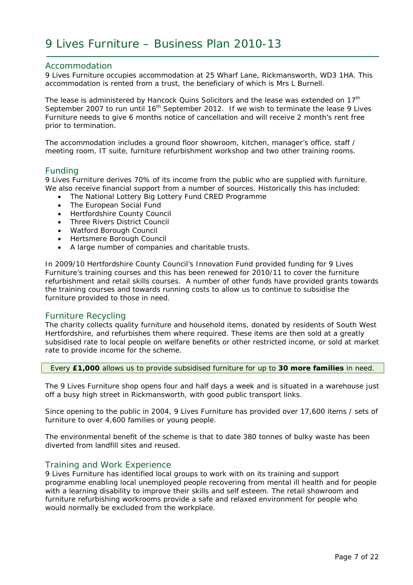#### Accommodation

9 Lives Furniture occupies accommodation at 25 Wharf Lane, Rickmansworth, WD3 1HA. This accommodation is rented from a trust, the beneficiary of which is Mrs L Burnell.

The lease is administered by Hancock Quins Solicitors and the lease was extended on  $17<sup>th</sup>$ September 2007 to run until 16<sup>th</sup> September 2012. If we wish to terminate the lease 9 Lives Furniture needs to give 6 months notice of cancellation and will receive 2 month's rent free prior to termination.

The accommodation includes a ground floor showroom, kitchen, manager's office, staff / meeting room, IT suite, furniture refurbishment workshop and two other training rooms.

#### Funding

9 Lives Furniture derives 70% of its income from the public who are supplied with furniture. We also receive financial support from a number of sources. Historically this has included:

- The National Lottery Big Lottery Fund CRED Programme
- The European Social Fund
- Hertfordshire County Council
- Three Rivers District Council
- Watford Borough Council
- Hertsmere Borough Council
- A large number of companies and charitable trusts.

In 2009/10 Hertfordshire County Council's Innovation Fund provided funding for 9 Lives Furniture's training courses and this has been renewed for 2010/11 to cover the furniture refurbishment and retail skills courses. A number of other funds have provided grants towards the training courses and towards running costs to allow us to continue to subsidise the furniture provided to those in need.

#### Furniture Recycling

The charity collects quality furniture and household items, donated by residents of South West Hertfordshire, and refurbishes them where required. These items are then sold at a greatly subsidised rate to local people on welfare benefits or other restricted income, or sold at market rate to provide income for the scheme.

Every **£1,000** allows us to provide subsidised furniture for up to **30 more families** in need.

The 9 Lives Furniture shop opens four and half days a week and is situated in a warehouse just off a busy high street in Rickmansworth, with good public transport links.

Since opening to the public in 2004, 9 Lives Furniture has provided over 17,600 items / sets of furniture to over 4,600 families or young people.

The environmental benefit of the scheme is that to date 380 tonnes of bulky waste has been diverted from landfill sites and reused.

#### Training and Work Experience

9 Lives Furniture has identified local groups to work with on its training and support programme enabling local unemployed people recovering from mental ill health and for people with a learning disability to improve their skills and self esteem. The retail showroom and furniture refurbishing workrooms provide a safe and relaxed environment for people who would normally be excluded from the workplace.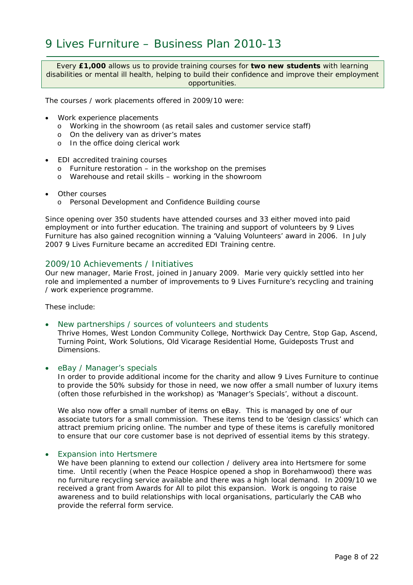Every **£1,000** allows us to provide training courses for **two new students** with learning disabilities or mental ill health, helping to build their confidence and improve their employment opportunities.

The courses / work placements offered in 2009/10 were:

- Work experience placements
	- o Working in the showroom (as retail sales and customer service staff)
	- o On the delivery van as driver's mates
	- o In the office doing clerical work
- EDI accredited training courses
	- o Furniture restoration in the workshop on the premises
	- o Warehouse and retail skills working in the showroom
- **Other courses** 
	- o Personal Development and Confidence Building course

Since opening over 350 students have attended courses and 33 either moved into paid employment or into further education. The training and support of volunteers by 9 Lives Furniture has also gained recognition winning a 'Valuing Volunteers' award in 2006. In July 2007 9 Lives Furniture became an accredited EDI Training centre.

#### 2009/10 Achievements / Initiatives

Our new manager, Marie Frost, joined in January 2009. Marie very quickly settled into her role and implemented a number of improvements to 9 Lives Furniture's recycling and training / work experience programme.

These include:

• *New partnerships / sources of volunteers and students* 

Thrive Homes, West London Community College, Northwick Day Centre, Stop Gap, Ascend, Turning Point, Work Solutions, Old Vicarage Residential Home, Guideposts Trust and Dimensions.

• *eBay / Manager's specials* 

In order to provide additional income for the charity and allow 9 Lives Furniture to continue to provide the 50% subsidy for those in need, we now offer a small number of luxury items (often those refurbished in the workshop) as 'Manager's Specials', without a discount.

We also now offer a small number of items on eBay. This is managed by one of our associate tutors for a small commission. These items tend to be 'design classics' which can attract premium pricing online. The number and type of these items is carefully monitored to ensure that our core customer base is not deprived of essential items by this strategy.

#### • *Expansion into Hertsmere*

We have been planning to extend our collection / delivery area into Hertsmere for some time. Until recently (when the Peace Hospice opened a shop in Borehamwood) there was no furniture recycling service available and there was a high local demand. In 2009/10 we received a grant from Awards for All to pilot this expansion. Work is ongoing to raise awareness and to build relationships with local organisations, particularly the CAB who provide the referral form service.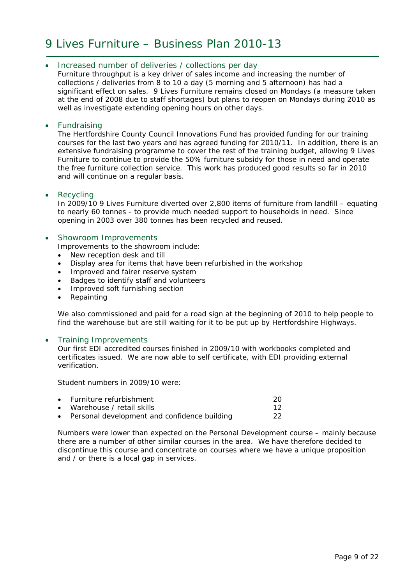#### • *Increased number of deliveries / collections per day*

Furniture throughput is a key driver of sales income and increasing the number of collections / deliveries from 8 to 10 a day (5 morning and 5 afternoon) has had a significant effect on sales. 9 Lives Furniture remains closed on Mondays (a measure taken at the end of 2008 due to staff shortages) but plans to reopen on Mondays during 2010 as well as investigate extending opening hours on other days.

#### • *Fundraising*

The Hertfordshire County Council Innovations Fund has provided funding for our training courses for the last two years and has agreed funding for 2010/11. In addition, there is an extensive fundraising programme to cover the rest of the training budget, allowing 9 Lives Furniture to continue to provide the 50% furniture subsidy for those in need and operate the free furniture collection service. This work has produced good results so far in 2010 and will continue on a regular basis.

#### • *Recycling*

In 2009/10 9 Lives Furniture diverted over 2,800 items of furniture from landfill – equating to nearly 60 tonnes - to provide much needed support to households in need. Since opening in 2003 over 380 tonnes has been recycled and reused.

#### • *Showroom Improvements*

Improvements to the showroom include:

- New reception desk and till
- Display area for items that have been refurbished in the workshop
- Improved and fairer reserve system
- Badges to identify staff and volunteers
- Improved soft furnishing section
- Repainting

We also commissioned and paid for a road sign at the beginning of 2010 to help people to find the warehouse but are still waiting for it to be put up by Hertfordshire Highways.

#### • *Training Improvements*

Our first EDI accredited courses finished in 2009/10 with workbooks completed and certificates issued. We are now able to self certificate, with EDI providing external verification.

Student numbers in 2009/10 were:

| • Furniture refurbishment                      | 20 |
|------------------------------------------------|----|
| • Warehouse / retail skills                    | 12 |
| • Personal development and confidence building | 22 |

Numbers were lower than expected on the Personal Development course – mainly because there are a number of other similar courses in the area. We have therefore decided to discontinue this course and concentrate on courses where we have a unique proposition and / or there is a local gap in services.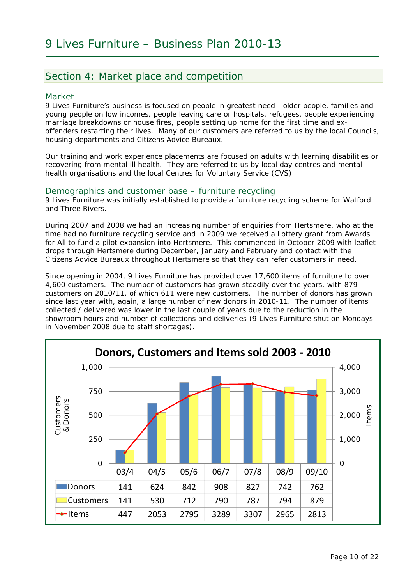### Section 4: Market place and competition

#### Market

9 Lives Furniture's business is focused on people in greatest need - older people, families and young people on low incomes, people leaving care or hospitals, refugees, people experiencing marriage breakdowns or house fires, people setting up home for the first time and exoffenders restarting their lives. Many of our customers are referred to us by the local Councils, housing departments and Citizens Advice Bureaux.

Our training and work experience placements are focused on adults with learning disabilities or recovering from mental ill health. They are referred to us by local day centres and mental health organisations and the local Centres for Voluntary Service (CVS).

#### Demographics and customer base – furniture recycling

9 Lives Furniture was initially established to provide a furniture recycling scheme for Watford and Three Rivers.

During 2007 and 2008 we had an increasing number of enquiries from Hertsmere, who at the time had no furniture recycling service and in 2009 we received a Lottery grant from Awards for All to fund a pilot expansion into Hertsmere. This commenced in October 2009 with leaflet drops through Hertsmere during December, January and February and contact with the Citizens Advice Bureaux throughout Hertsmere so that they can refer customers in need.

Since opening in 2004, 9 Lives Furniture has provided over 17,600 items of furniture to over 4,600 customers. The number of customers has grown steadily over the years, with 879 customers on 2010/11, of which 611 were new customers. The number of donors has grown since last year with, again, a large number of new donors in 2010-11. The number of items collected / delivered was lower in the last couple of years due to the reduction in the showroom hours and number of collections and deliveries (9 Lives Furniture shut on Mondays in November 2008 due to staff shortages).

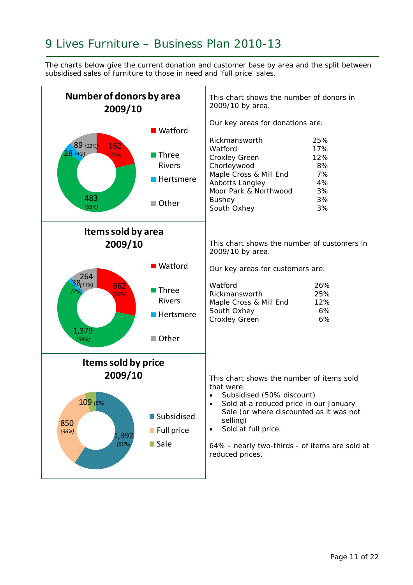The charts below give the current donation and customer base by area and the split between subsidised sales of furniture to those in need and 'full price' sales.

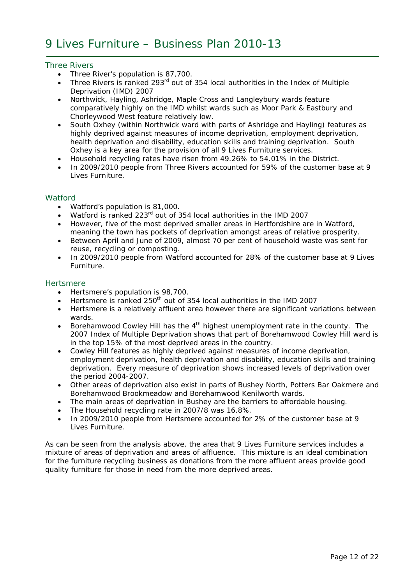#### *Three Rivers*

- Three River's population is 87,700.
- Three Rivers is ranked 293<sup>rd</sup> out of 354 local authorities in the Index of Multiple Deprivation (IMD) 2007
- Northwick, Hayling, Ashridge, Maple Cross and Langleybury wards feature comparatively highly on the IMD whilst wards such as Moor Park & Eastbury and Chorleywood West feature relatively low.
- South Oxhey (within Northwick ward with parts of Ashridge and Hayling) features as highly deprived against measures of income deprivation, employment deprivation, health deprivation and disability, education skills and training deprivation. South Oxhey is a key area for the provision of all 9 Lives Furniture services.
- Household recycling rates have risen from 49.26% to 54.01% in the District.
- In 2009/2010 people from Three Rivers accounted for 59% of the customer base at 9 Lives Furniture.

#### *Watford*

- Watford's population is 81,000.
- Watford is ranked 223rd out of 354 local authorities in the IMD 2007
- However, five of the most deprived smaller areas in Hertfordshire are in Watford, meaning the town has pockets of deprivation amongst areas of relative prosperity.
- Between April and June of 2009, almost 70 per cent of household waste was sent for reuse, recycling or composting.
- In 2009/2010 people from Watford accounted for 28% of the customer base at 9 Lives Furniture.

#### *Hertsmere*

- Hertsmere's population is 98,700.
- Hertsmere is ranked  $250<sup>th</sup>$  out of 354 local authorities in the IMD 2007
- Hertsmere is a relatively affluent area however there are significant variations between wards.
- Borehamwood Cowley Hill has the  $4<sup>th</sup>$  highest unemployment rate in the county. The 2007 Index of Multiple Deprivation shows that part of Borehamwood Cowley Hill ward is in the top 15% of the most deprived areas in the country.
- Cowley Hill features as highly deprived against measures of income deprivation, employment deprivation, health deprivation and disability, education skills and training deprivation. Every measure of deprivation shows increased levels of deprivation over the period 2004-2007.
- Other areas of deprivation also exist in parts of Bushey North, Potters Bar Oakmere and Borehamwood Brookmeadow and Borehamwood Kenilworth wards.
- The main areas of deprivation in Bushey are the barriers to affordable housing.
- The Household recycling rate in 2007/8 was 16.8%.
- In 2009/2010 people from Hertsmere accounted for 2% of the customer base at 9 Lives Furniture.

As can be seen from the analysis above, the area that 9 Lives Furniture services includes a mixture of areas of deprivation and areas of affluence. This mixture is an ideal combination for the furniture recycling business as donations from the more affluent areas provide good quality furniture for those in need from the more deprived areas.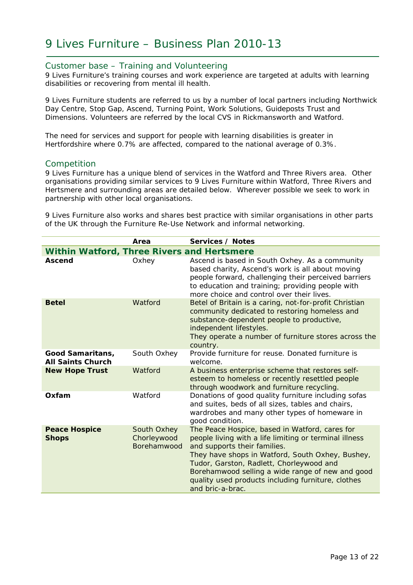#### Customer base – Training and Volunteering

9 Lives Furniture's training courses and work experience are targeted at adults with learning disabilities or recovering from mental ill health.

9 Lives Furniture students are referred to us by a number of local partners including Northwick Day Centre, Stop Gap, Ascend, Turning Point, Work Solutions, Guideposts Trust and Dimensions. Volunteers are referred by the local CVS in Rickmansworth and Watford.

The need for services and support for people with learning disabilities is greater in Hertfordshire where 0.7% are affected, compared to the national average of 0.3%.

#### Competition

9 Lives Furniture has a unique blend of services in the Watford and Three Rivers area. Other organisations providing similar services to 9 Lives Furniture within Watford, Three Rivers and Hertsmere and surrounding areas are detailed below. Wherever possible we seek to work in partnership with other local organisations.

9 Lives Furniture also works and shares best practice with similar organisations in other parts of the UK through the Furniture Re-Use Network and informal networking.

|                                                   | Area                                      | Services / Notes                                                                                                                                                                                                                                                                                                                                                       |
|---------------------------------------------------|-------------------------------------------|------------------------------------------------------------------------------------------------------------------------------------------------------------------------------------------------------------------------------------------------------------------------------------------------------------------------------------------------------------------------|
| <b>Within Watford, Three Rivers and Hertsmere</b> |                                           |                                                                                                                                                                                                                                                                                                                                                                        |
| <b>Ascend</b>                                     | Oxhey                                     | Ascend is based in South Oxhey. As a community<br>based charity, Ascend's work is all about moving<br>people forward, challenging their perceived barriers<br>to education and training; providing people with<br>more choice and control over their lives.                                                                                                            |
| <b>Betel</b>                                      | Watford                                   | Betel of Britain is a caring, not-for-profit Christian<br>community dedicated to restoring homeless and<br>substance-dependent people to productive,<br>independent lifestyles.<br>They operate a number of furniture stores across the<br>country.                                                                                                                    |
| Good Samaritans,<br><b>All Saints Church</b>      | South Oxhey                               | Provide furniture for reuse. Donated furniture is<br>welcome.                                                                                                                                                                                                                                                                                                          |
| <b>New Hope Trust</b>                             | Watford                                   | A business enterprise scheme that restores self-<br>esteem to homeless or recently resettled people<br>through woodwork and furniture recycling.                                                                                                                                                                                                                       |
| Oxfam                                             | Watford                                   | Donations of good quality furniture including sofas<br>and suites, beds of all sizes, tables and chairs,<br>wardrobes and many other types of homeware in<br>good condition.                                                                                                                                                                                           |
| <b>Peace Hospice</b><br><b>Shops</b>              | South Oxhey<br>Chorleywood<br>Borehamwood | The Peace Hospice, based in Watford, cares for<br>people living with a life limiting or terminal illness<br>and supports their families.<br>They have shops in Watford, South Oxhey, Bushey,<br>Tudor, Garston, Radlett, Chorleywood and<br>Borehamwood selling a wide range of new and good<br>quality used products including furniture, clothes<br>and bric-a-brac. |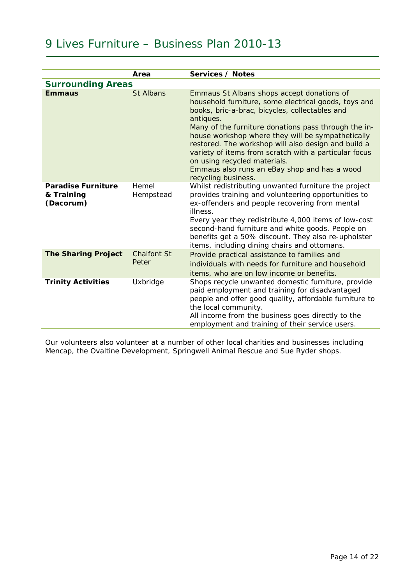|                                                      | Area                        | Services / Notes                                                                                                                                                                                                                                                                                                                                                                                                                                                                                      |
|------------------------------------------------------|-----------------------------|-------------------------------------------------------------------------------------------------------------------------------------------------------------------------------------------------------------------------------------------------------------------------------------------------------------------------------------------------------------------------------------------------------------------------------------------------------------------------------------------------------|
| <b>Surrounding Areas</b>                             |                             |                                                                                                                                                                                                                                                                                                                                                                                                                                                                                                       |
| <b>Emmaus</b>                                        | <b>St Albans</b>            | Emmaus St Albans shops accept donations of<br>household furniture, some electrical goods, toys and<br>books, bric-a-brac, bicycles, collectables and<br>antiques.<br>Many of the furniture donations pass through the in-<br>house workshop where they will be sympathetically<br>restored. The workshop will also design and build a<br>variety of items from scratch with a particular focus<br>on using recycled materials.<br>Emmaus also runs an eBay shop and has a wood<br>recycling business. |
| <b>Paradise Furniture</b><br>& Training<br>(Dacorum) | Hemel<br>Hempstead          | Whilst redistributing unwanted furniture the project<br>provides training and volunteering opportunities to<br>ex-offenders and people recovering from mental<br>illness.<br>Every year they redistribute 4,000 items of low-cost<br>second-hand furniture and white goods. People on<br>benefits get a 50% discount. They also re-upholster<br>items, including dining chairs and ottomans.                                                                                                          |
| <b>The Sharing Project</b>                           | <b>Chalfont St</b><br>Peter | Provide practical assistance to families and<br>individuals with needs for furniture and household<br>items, who are on low income or benefits.                                                                                                                                                                                                                                                                                                                                                       |
| <b>Trinity Activities</b>                            | Uxbridge                    | Shops recycle unwanted domestic furniture, provide<br>paid employment and training for disadvantaged<br>people and offer good quality, affordable furniture to<br>the local community.<br>All income from the business goes directly to the<br>employment and training of their service users.                                                                                                                                                                                                        |

Our volunteers also volunteer at a number of other local charities and businesses including Mencap, the Ovaltine Development, Springwell Animal Rescue and Sue Ryder shops.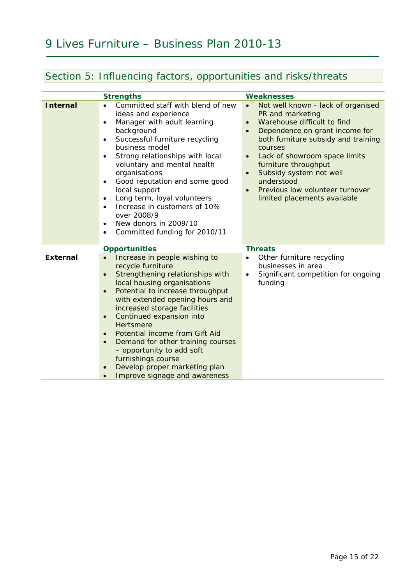### Section 5: Influencing factors, opportunities and risks/threats

|                 | <b>Strengths</b>                                                                                                                                                                                                                                                                                                                                                                                                                                                                                                                                           | <b>Weaknesses</b>                                                                                                                                                                                                                                                                                                                                                                     |
|-----------------|------------------------------------------------------------------------------------------------------------------------------------------------------------------------------------------------------------------------------------------------------------------------------------------------------------------------------------------------------------------------------------------------------------------------------------------------------------------------------------------------------------------------------------------------------------|---------------------------------------------------------------------------------------------------------------------------------------------------------------------------------------------------------------------------------------------------------------------------------------------------------------------------------------------------------------------------------------|
| <b>Internal</b> | Committed staff with blend of new<br>ideas and experience<br>Manager with adult learning<br>$\bullet$<br>background<br>Successful furniture recycling<br>$\bullet$<br>business model<br>Strong relationships with local<br>$\bullet$<br>voluntary and mental health<br>organisations<br>Good reputation and some good<br>$\bullet$<br>local support<br>Long term, loyal volunteers<br>$\bullet$<br>Increase in customers of 10%<br>$\bullet$<br>over 2008/9<br>New donors in 2009/10<br>$\bullet$<br>Committed funding for 2010/11                         | Not well known - lack of organised<br>$\bullet$<br>PR and marketing<br>Warehouse difficult to find<br>$\bullet$<br>Dependence on grant income for<br>both furniture subsidy and training<br>courses<br>Lack of showroom space limits<br>$\bullet$<br>furniture throughput<br>Subsidy system not well<br>understood<br>Previous low volunteer turnover<br>limited placements available |
| <b>External</b> | <b>Opportunities</b><br>Increase in people wishing to<br>recycle furniture<br>Strengthening relationships with<br>$\bullet$<br>local housing organisations<br>Potential to increase throughput<br>$\bullet$<br>with extended opening hours and<br>increased storage facilities<br>Continued expansion into<br>$\bullet$<br>Hertsmere<br>Potential income from Gift Aid<br>$\bullet$<br>Demand for other training courses<br>$\bullet$<br>- opportunity to add soft<br>furnishings course<br>Develop proper marketing plan<br>Improve signage and awareness | <b>Threats</b><br>Other furniture recycling<br>businesses in area<br>Significant competition for ongoing<br>funding                                                                                                                                                                                                                                                                   |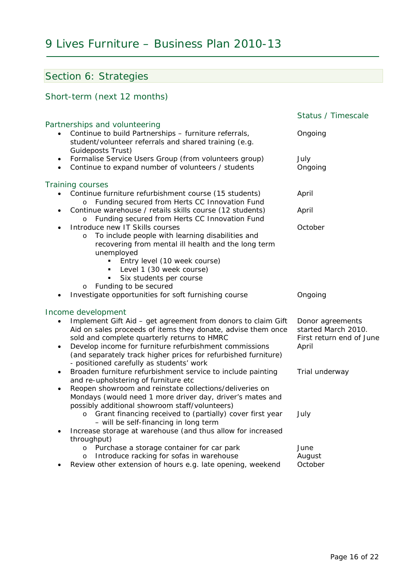### Section 6: Strategies

### Short-term (next 12 months)

|                        |                                                                                                                                                                                                                                                                                                                                                                           | Status / Timescale                                                           |
|------------------------|---------------------------------------------------------------------------------------------------------------------------------------------------------------------------------------------------------------------------------------------------------------------------------------------------------------------------------------------------------------------------|------------------------------------------------------------------------------|
|                        | Partnerships and volunteering<br>Continue to build Partnerships - furniture referrals,<br>student/volunteer referrals and shared training (e.g.<br>Guideposts Trust)                                                                                                                                                                                                      | Ongoing                                                                      |
| $\bullet$<br>$\bullet$ | Formalise Service Users Group (from volunteers group)<br>Continue to expand number of volunteers / students                                                                                                                                                                                                                                                               | July<br>Ongoing                                                              |
|                        | Training courses                                                                                                                                                                                                                                                                                                                                                          |                                                                              |
|                        | Continue furniture refurbishment course (15 students)<br>Funding secured from Herts CC Innovation Fund                                                                                                                                                                                                                                                                    | April                                                                        |
| ٠                      | Continue warehouse / retails skills course (12 students)<br>Funding secured from Herts CC Innovation Fund<br>$\circ$                                                                                                                                                                                                                                                      | April                                                                        |
|                        | Introduce new IT Skills courses<br>To include people with learning disabilities and<br>$\circ$<br>recovering from mental ill health and the long term<br>unemployed<br>Entry level (10 week course)                                                                                                                                                                       | October                                                                      |
|                        | Level 1 (30 week course)<br>Six students per course                                                                                                                                                                                                                                                                                                                       |                                                                              |
|                        | Funding to be secured<br>$\circ$<br>Investigate opportunities for soft furnishing course                                                                                                                                                                                                                                                                                  | Ongoing                                                                      |
| $\bullet$              | Income development<br>Implement Gift Aid - get agreement from donors to claim Gift<br>Aid on sales proceeds of items they donate, advise them once<br>sold and complete quarterly returns to HMRC<br>Develop income for furniture refurbishment commissions<br>(and separately track higher prices for refurbished furniture)<br>- positioned carefully as students' work | Donor agreements<br>started March 2010.<br>First return end of June<br>April |
| $\bullet$<br>٠         | Broaden furniture refurbishment service to include painting<br>and re-upholstering of furniture etc<br>Reopen showroom and reinstate collections/deliveries on<br>Mondays (would need 1 more driver day, driver's mates and<br>possibly additional showroom staff/volunteers)                                                                                             | Trial underway                                                               |
|                        | Grant financing received to (partially) cover first year<br>$\circ$<br>- will be self-financing in long term                                                                                                                                                                                                                                                              | July                                                                         |
| $\bullet$              | Increase storage at warehouse (and thus allow for increased<br>throughput)                                                                                                                                                                                                                                                                                                |                                                                              |
|                        | Purchase a storage container for car park<br>$\circ$<br>Introduce racking for sofas in warehouse<br>$\circ$                                                                                                                                                                                                                                                               | June<br>August                                                               |
| ٠                      | Review other extension of hours e.g. late opening, weekend                                                                                                                                                                                                                                                                                                                | October                                                                      |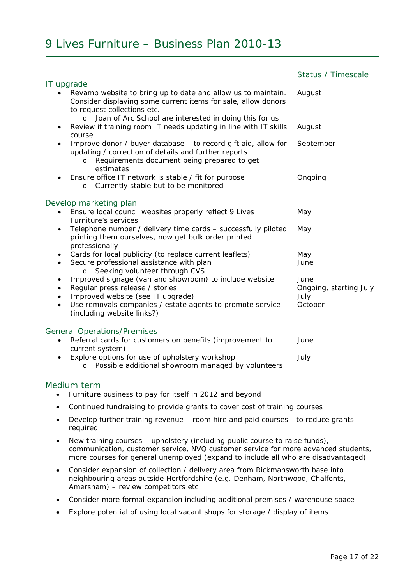|                                                                                                                                                                                                                                   | Status / Timescale                     |
|-----------------------------------------------------------------------------------------------------------------------------------------------------------------------------------------------------------------------------------|----------------------------------------|
| IT upgrade                                                                                                                                                                                                                        |                                        |
| Revamp website to bring up to date and allow us to maintain.<br>Consider displaying some current items for sale, allow donors<br>to request collections etc.<br>Joan of Arc School are interested in doing this for us<br>$\circ$ | August                                 |
| Review if training room IT needs updating in line with IT skills<br>٠<br>course                                                                                                                                                   | August                                 |
| Improve donor / buyer database - to record gift aid, allow for<br>٠<br>updating / correction of details and further reports<br>Requirements document being prepared to get<br>$\circ$<br>estimates                                | September                              |
| Ensure office IT network is stable / fit for purpose<br>٠<br>Currently stable but to be monitored<br>$\circ$                                                                                                                      | Ongoing                                |
| Develop marketing plan                                                                                                                                                                                                            |                                        |
| Ensure local council websites properly reflect 9 Lives<br>Furniture's services                                                                                                                                                    | May                                    |
| Telephone number / delivery time cards - successfully piloted<br>٠<br>printing them ourselves, now get bulk order printed<br>professionally                                                                                       | May                                    |
| Cards for local publicity (to replace current leaflets)<br>٠<br>Secure professional assistance with plan<br>$\bullet$<br>o Seeking volunteer through CVS                                                                          | May<br>June                            |
| Improved signage (van and showroom) to include website<br>$\bullet$<br>Regular press release / stories<br>٠<br>Improved website (see IT upgrade)<br>٠                                                                             | June<br>Ongoing, starting July<br>July |
| Use removals companies / estate agents to promote service<br>$\bullet$<br>(including website links?)                                                                                                                              | October                                |
| <b>General Operations/Premises</b>                                                                                                                                                                                                |                                        |
| Referral cards for customers on benefits (improvement to<br>$\bullet$<br>current system)                                                                                                                                          | June                                   |
| Explore options for use of upholstery workshop<br>Possible additional showroom managed by volunteers<br>$\circ$                                                                                                                   | July                                   |

#### Medium term

- Furniture business to pay for itself in 2012 and beyond
- Continued fundraising to provide grants to cover cost of training courses
- Develop further training revenue room hire and paid courses to reduce grants required
- New training courses upholstery (including public course to raise funds), communication, customer service, NVQ customer service for more advanced students, more courses for general unemployed (expand to include all who are disadvantaged)
- Consider expansion of collection / delivery area from Rickmansworth base into neighbouring areas outside Hertfordshire (e.g. Denham, Northwood, Chalfonts, Amersham) – review competitors etc
- Consider more formal expansion including additional premises / warehouse space
- Explore potential of using local vacant shops for storage / display of items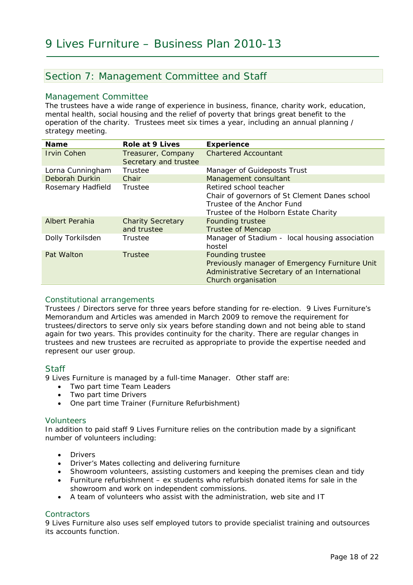### Section 7: Management Committee and Staff

#### Management Committee

The trustees have a wide range of experience in business, finance, charity work, education, mental health, social housing and the relief of poverty that brings great benefit to the operation of the charity. Trustees meet six times a year, including an annual planning / strategy meeting.

| <b>Name</b>        | <b>Role at 9 Lives</b>                      | <b>Experience</b>                                                                                                                                |
|--------------------|---------------------------------------------|--------------------------------------------------------------------------------------------------------------------------------------------------|
| <b>Irvin Cohen</b> | Treasurer, Company<br>Secretary and trustee | <b>Chartered Accountant</b>                                                                                                                      |
| Lorna Cunningham   | Trustee                                     | Manager of Guideposts Trust                                                                                                                      |
| Deborah Durkin     | Chair                                       | Management consultant                                                                                                                            |
| Rosemary Hadfield  | Trustee                                     | Retired school teacher<br>Chair of governors of St Clement Danes school<br>Trustee of the Anchor Fund<br>Trustee of the Holborn Estate Charity   |
| Albert Perahia     | <b>Charity Secretary</b><br>and trustee     | <b>Founding trustee</b><br><b>Trustee of Mencap</b>                                                                                              |
| Dolly Torkilsden   | Trustee                                     | Manager of Stadium - local housing association<br>hostel                                                                                         |
| Pat Walton         | <b>Trustee</b>                              | <b>Founding trustee</b><br>Previously manager of Emergency Furniture Unit<br>Administrative Secretary of an International<br>Church organisation |

#### *Constitutional arrangements*

Trustees / Directors serve for three years before standing for re-election. 9 Lives Furniture's Memorandum and Articles was amended in March 2009 to remove the requirement for trustees/directors to serve only six years before standing down and not being able to stand again for two years. This provides continuity for the charity. There are regular changes in trustees and new trustees are recruited as appropriate to provide the expertise needed and represent our user group.

#### **Staff**

9 Lives Furniture is managed by a full-time Manager. Other staff are:

- Two part time Team Leaders
- Two part time Drivers
- One part time Trainer (Furniture Refurbishment)

#### *Volunteers*

In addition to paid staff 9 Lives Furniture relies on the contribution made by a significant number of volunteers including:

- Drivers
- Driver's Mates collecting and delivering furniture
- Showroom volunteers, assisting customers and keeping the premises clean and tidy
- Furniture refurbishment ex students who refurbish donated items for sale in the showroom and work on independent commissions.
- A team of volunteers who assist with the administration, web site and IT

#### *Contractors*

9 Lives Furniture also uses self employed tutors to provide specialist training and outsources its accounts function.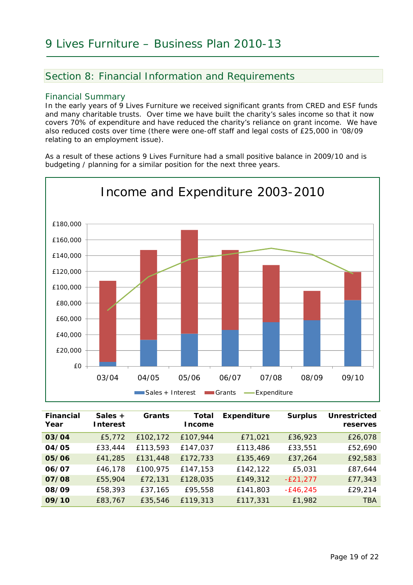### Section 8: Financial Information and Requirements

#### Financial Summary

In the early years of 9 Lives Furniture we received significant grants from CRED and ESF funds and many charitable trusts. Over time we have built the charity's sales income so that it now covers 70% of expenditure and have reduced the charity's reliance on grant income. We have also reduced costs over time (there were one-off staff and legal costs of £25,000 in '08/09 relating to an employment issue).

As a result of these actions 9 Lives Furniture had a small positive balance in 2009/10 and is budgeting / planning for a similar position for the next three years.



| <b>Financial</b><br>Year | Sales $+$<br><b>Interest</b> | Grants   | Total<br><b>ncome</b> | <b>Expenditure</b> | <b>Surplus</b> | <b>Unrestricted</b><br>reserves |
|--------------------------|------------------------------|----------|-----------------------|--------------------|----------------|---------------------------------|
| 03/04                    | £5,772                       | £102,172 | £107,944              | £71,021            | £36,923        | £26,078                         |
| 04/05                    | £33,444                      | £113,593 | £147,037              | £113,486           | £33,551        | £52,690                         |
| 05/06                    | £41,285                      | £131,448 | £172,733              | £135,469           | £37,264        | £92,583                         |
| 06/07                    | £46,178                      | £100,975 | £147,153              | £142,122           | £5,031         | £87,644                         |
| 07/08                    | £55,904                      | £72,131  | £128,035              | £149,312           | $-E21,277$     | £77,343                         |
| 08/09                    | £58,393                      | £37,165  | £95,558               | £141,803           | $-E46,245$     | £29,214                         |
| 09/10                    | £83,767                      | £35,546  | £119,313              | £117,331           | £1,982         | <b>TBA</b>                      |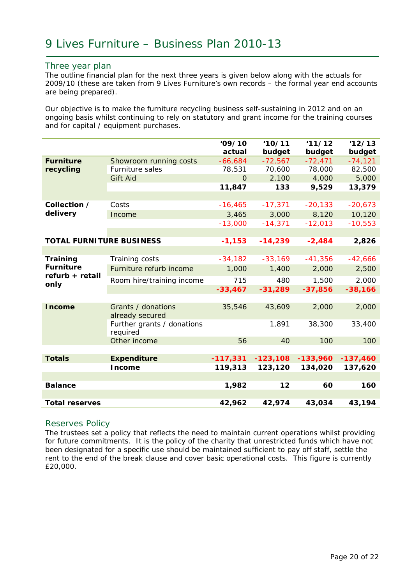#### Three year plan

The outline financial plan for the next three years is given below along with the actuals for 2009/10 (these are taken from 9 Lives Furniture's own records – the formal year end accounts are being prepared).

Our objective is to make the furniture recycling business self-sustaining in 2012 and on an ongoing basis whilst continuing to rely on statutory and grant income for the training courses and for capital / equipment purchases.

|                                                         |                                        | '09/10<br>actual | 10/11<br>budget | 11/12<br>budget | 12/13<br>budget |  |
|---------------------------------------------------------|----------------------------------------|------------------|-----------------|-----------------|-----------------|--|
| <b>Furniture</b><br>recycling                           | Showroom running costs                 | $-66,684$        | $-72,567$       | $-72,471$       | $-74, 121$      |  |
|                                                         | Furniture sales                        | 78,531           | 70,600          | 78,000          | 82,500          |  |
|                                                         | <b>Gift Aid</b>                        | $\Omega$         | 2,100           | 4,000           | 5,000           |  |
|                                                         |                                        | 11,847           | 133             | 9,529           | 13,379          |  |
|                                                         |                                        |                  |                 | $-20,133$       |                 |  |
| Collection /<br>delivery                                | Costs                                  | $-16, 465$       | $-17,371$       |                 | $-20,673$       |  |
|                                                         | Income                                 | 3,465<br>3,000   |                 | 8,120           | 10,120          |  |
|                                                         |                                        | $-13,000$        | $-14,371$       | $-12,013$       | $-10,553$       |  |
|                                                         |                                        |                  |                 |                 |                 |  |
| <b>TOTAL FURNITURE BUSINESS</b>                         |                                        | $-1,153$         | $-14,239$       | $-2,484$        | 2,826           |  |
|                                                         |                                        |                  |                 |                 |                 |  |
| Training<br><b>Furniture</b><br>refurb + retail<br>only | Training costs                         | $-34,182$        | $-33,169$       | $-41,356$       | $-42,666$       |  |
|                                                         | Furniture refurb income                | 1,000            | 1,400           | 2,000           | 2,500           |  |
|                                                         | Room hire/training income              | 715              | 480             | 1,500           | 2,000           |  |
|                                                         |                                        | $-33,467$        | $-31,289$       | $-37,856$       | $-38,166$       |  |
|                                                         |                                        |                  |                 |                 |                 |  |
| <b>Income</b>                                           | Grants / donations<br>already secured  | 35,546           | 43,609          | 2,000           | 2,000           |  |
|                                                         | Further grants / donations<br>required |                  | 1,891           | 38,300          | 33,400          |  |
|                                                         | Other income                           | 56               | 40              | 100             | 100             |  |
|                                                         |                                        |                  |                 |                 |                 |  |
| <b>Totals</b>                                           | <b>Expenditure</b>                     | $-117,331$       | $-123,108$      | $-133,960$      | $-137,460$      |  |
|                                                         | <b>Income</b>                          | 119,313          | 123,120         | 134,020         | 137,620         |  |
|                                                         |                                        |                  |                 |                 |                 |  |
| <b>Balance</b>                                          |                                        | 1,982            | 12              | 60              | 160             |  |
|                                                         |                                        |                  |                 |                 |                 |  |
| <b>Total reserves</b>                                   |                                        | 42,962           | 42,974          | 43,034          | 43,194          |  |

#### Reserves Policy

The trustees set a policy that reflects the need to maintain current operations whilst providing for future commitments. It is the policy of the charity that unrestricted funds which have not been designated for a specific use should be maintained sufficient to pay off staff, settle the rent to the end of the break clause and cover basic operational costs. This figure is currently £20,000.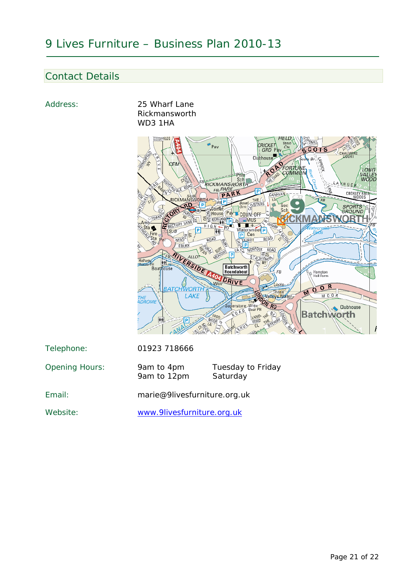### Contact Details



Website: www.9livesfurniture.org.uk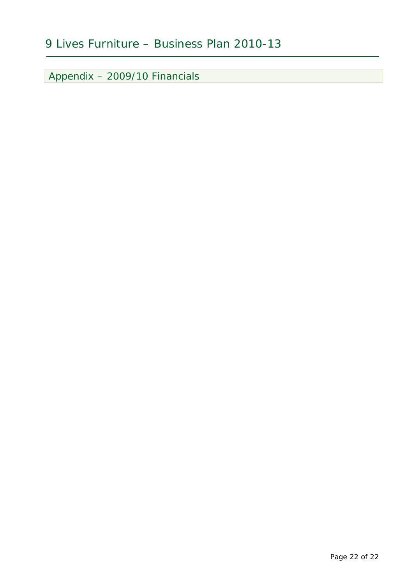Appendix – 2009/10 Financials